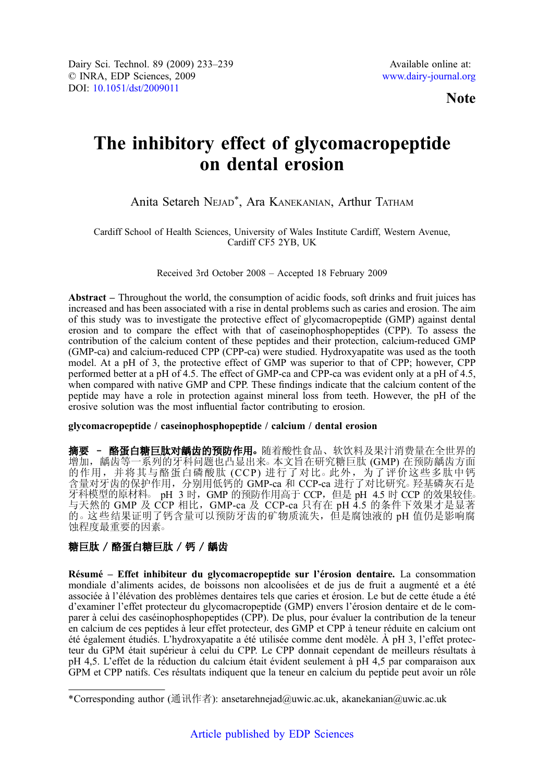**Note** 

# The inhibitory effect of glycomacropeptide on dental erosion

# Anita Setareh NEJAD\*, Ara KANEKANIAN, Arthur TATHAM

Cardiff School of Health Sciences, University of Wales Institute Cardiff, Western Avenue, Cardiff CF5 2YB, UK

Received 3rd October 2008 – Accepted 18 February 2009

Abstract – Throughout the world, the consumption of acidic foods, soft drinks and fruit juices has increased and has been associated with a rise in dental problems such as caries and erosion. The aim of this study was to investigate the protective effect of glycomacropeptide (GMP) against dental erosion and to compare the effect with that of caseinophosphopeptides (CPP). To assess the contribution of the calcium content of these peptides and their protection, calcium-reduced GMP (GMP-ca) and calcium-reduced CPP (CPP-ca) were studied. Hydroxyapatite was used as the tooth model. At a pH of 3, the protective effect of GMP was superior to that of CPP; however, CPP performed better at a pH of 4.5. The effect of GMP-ca and CPP-ca was evident only at a pH of 4.5, when compared with native GMP and CPP. These findings indicate that the calcium content of the peptide may have a role in protection against mineral loss from teeth. However, the pH of the erosive solution was the most influential factor contributing to erosion.

#### glycomacropeptide / caseinophosphopeptide / calcium / dental erosion

摘要 - 酪蛋白糖巨肽对龋齿的预防作用。随着酸性食品、软饮料及果汁消费量在全世界的 增加,龋齿等一系列的牙科问题也凸显出来○ 本文旨在研究糖巨肽 (GMP) 在预防龋齿方面 的作用,并将其与酪蛋白磷酸肽 (CCP) 进行了对比。此外, 为了评价这些多肽中钙 含量对牙齿的保护作用,分别用低钙的 GMP-ca 和 CCP-ca 进行了对比研究○ 羟基磷灰石是 牙科模型的原材料。 pH 3 时,GMP 的预防作用高于 CCP, 但是 pH 4.5 时 CCP 的效果较佳。 与天然的 GMP 及 CCP 相比, GMP-ca 及 CCP-ca 只有在 pH 4.5 的条件下效果才是显著 的○ 这些结果证明了钙含量可以预防牙齿的矿物质流失,但是腐蚀液的 pH 值仍是影响腐 蚀程度最重要的因素○

# 糖巨肽 / 酪蛋白糖巨肽 / 钙 / 龋齿

Résumé – Effet inhibiteur du glycomacropeptide sur l'érosion dentaire. La consommation mondiale d'aliments acides, de boissons non alcoolisées et de jus de fruit a augmenté et a été associée à l'élévation des problèmes dentaires tels que caries et érosion. Le but de cette étude a été d'examiner l'effet protecteur du glycomacropeptide (GMP) envers l'érosion dentaire et de le comparer à celui des caséinophosphopeptides (CPP). De plus, pour évaluer la contribution de la teneur en calcium de ces peptides à leur effet protecteur, des GMP et CPP à teneur réduite en calcium ont été également étudiés. L'hydroxyapatite a été utilisée comme dent modèle. À pH 3, l'effet protecteur du GPM était supérieur à celui du CPP. Le CPP donnait cependant de meilleurs résultats à pH 4,5. L'effet de la réduction du calcium était évident seulement à pH 4,5 par comparaison aux GPM et CPP natifs. Ces résultats indiquent que la teneur en calcium du peptide peut avoir un rôle

<sup>\*</sup>Corresponding author (通讯作者): ansetarehnejad@uwic.ac.uk, akanekanian@uwic.ac.uk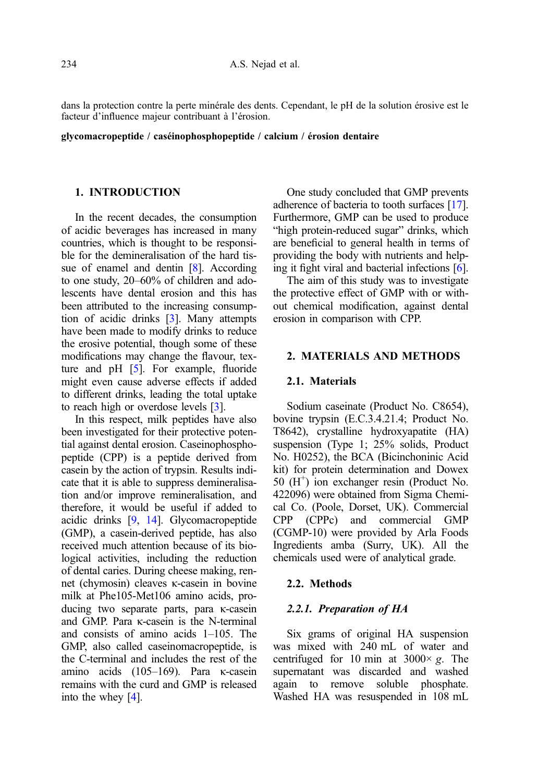dans la protection contre la perte minérale des dents. Cependant, le pH de la solution érosive est le facteur d'influence majeur contribuant à l'érosion.

glycomacropeptide / caséinophosphopeptide / calcium / érosion dentaire

#### 1. INTRODUCTION

In the recent decades, the consumption of acidic beverages has increased in many countries, which is thought to be responsible for the demineralisation of the hard tissue of enamel and dentin [\[8](#page-5-0)]. According to one study, 20–60% of children and adolescents have dental erosion and this has been attributed to the increasing consumption of acidic drinks [\[3](#page-5-0)]. Many attempts have been made to modify drinks to reduce the erosive potential, though some of these modifications may change the flavour, tex-ture and pH [\[5\]](#page-5-0). For example, fluoride might even cause adverse effects if added to different drinks, leading the total uptake to reach high or overdose levels [\[3\]](#page-5-0).

In this respect, milk peptides have also been investigated for their protective potential against dental erosion. Caseinophosphopeptide (CPP) is a peptide derived from casein by the action of trypsin. Results indicate that it is able to suppress demineralisation and/or improve remineralisation, and therefore, it would be useful if added to acidic drinks [\[9,](#page-5-0) [14\]](#page-6-0). Glycomacropeptide (GMP), a casein-derived peptide, has also received much attention because of its biological activities, including the reduction of dental caries. During cheese making, rennet (chymosin) cleaves κ-casein in bovine milk at Phe105-Met106 amino acids, producing two separate parts, para κ-casein and GMP. Para κ-casein is the N-terminal and consists of amino acids 1–105. The GMP, also called caseinomacropeptide, is the C-terminal and includes the rest of the amino acids (105–169). Para κ-casein remains with the curd and GMP is released into the whey [[4\]](#page-5-0).

One study concluded that GMP prevents adherence of bacteria to tooth surfaces [\[17](#page-6-0)]. Furthermore, GMP can be used to produce "high protein-reduced sugar" drinks, which are beneficial to general health in terms of providing the body with nutrients and helping it fight viral and bacterial infections  $\overline{6}$ .

The aim of this study was to investigate the protective effect of GMP with or without chemical modification, against dental erosion in comparison with CPP.

#### 2. MATERIALS AND METHODS

#### 2.1. Materials

Sodium caseinate (Product No. C8654), bovine trypsin (E.C.3.4.21.4; Product No. T8642), crystalline hydroxyapatite (HA) suspension (Type 1; 25% solids, Product No. H0252), the BCA (Bicinchoninic Acid kit) for protein determination and Dowex  $50 \text{ (H)}$  ion exchanger resin (Product No. 422096) were obtained from Sigma Chemical Co. (Poole, Dorset, UK). Commercial CPP (CPPc) and commercial GMP (CGMP-10) were provided by Arla Foods Ingredients amba (Surry, UK). All the chemicals used were of analytical grade.

#### 2.2. Methods

# 2.2.1. Preparation of HA

Six grams of original HA suspension was mixed with 240 mL of water and centrifuged for 10 min at  $3000 \times g$ . The supernatant was discarded and washed again to remove soluble phosphate. Washed HA was resuspended in 108 mL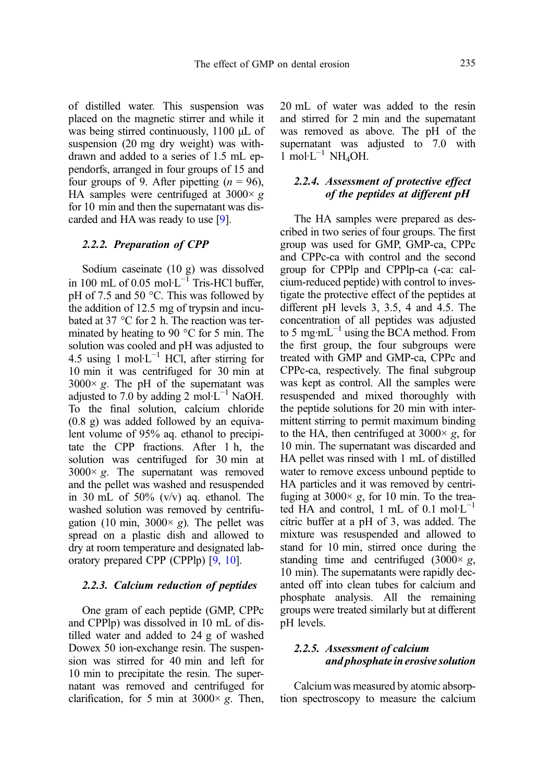of distilled water. This suspension was placed on the magnetic stirrer and while it was being stirred continuously, 1100 μL of suspension (20 mg dry weight) was withdrawn and added to a series of 1.5 mL eppendorfs, arranged in four groups of 15 and four groups of 9. After pipetting  $(n = 96)$ , HA samples were centrifuged at  $3000 \times g$ for 10 min and then the supernatant was discarded and HA was ready to use [\[9\]](#page-5-0).

#### 2.2.2. Preparation of CPP

Sodium caseinate (10 g) was dissolved in 100 mL of 0.05 mol⋅L<sup>-1</sup> Tris-HCl buffer, pH of 7.5 and 50 °C. This was followed by the addition of 12.5 mg of trypsin and incubated at 37 °C for 2 h. The reaction was terminated by heating to 90 °C for 5 min. The solution was cooled and pH was adjusted to 4.5 using 1 mol⋅L<sup>-1</sup> HCl, after stirring for 10 min it was centrifuged for 30 min at  $3000 \times g$ . The pH of the supernatant was adjusted to 7.0 by adding 2 mol⋅L<sup>-1</sup> NaOH. To the final solution, calcium chloride (0.8 g) was added followed by an equivalent volume of 95% aq. ethanol to precipitate the CPP fractions. After 1 h, the solution was centrifuged for 30 min at  $3000 \times g$ . The supernatant was removed and the pellet was washed and resuspended in 30 mL of 50% (v/v) aq. ethanol. The washed solution was removed by centrifugation (10 min,  $3000 \times g$ ). The pellet was spread on a plastic dish and allowed to dry at room temperature and designated laboratory prepared CPP (CPPlp) [[9,](#page-5-0) [10](#page-5-0)].

#### 2.2.3. Calcium reduction of peptides

One gram of each peptide (GMP, CPPc and CPPlp) was dissolved in 10 mL of distilled water and added to 24 g of washed Dowex 50 ion-exchange resin. The suspension was stirred for 40 min and left for 10 min to precipitate the resin. The supernatant was removed and centrifuged for clarification, for 5 min at  $3000 \times g$ . Then, 20 mL of water was added to the resin and stirred for 2 min and the supernatant was removed as above. The pH of the supernatant was adjusted to 7.0 with  $1$  mol·L<sup>-1</sup> NH<sub>4</sub>OH.

# 2.2.4. Assessment of protective effect of the peptides at different pH

The HA samples were prepared as described in two series of four groups. The first group was used for GMP, GMP-ca, CPPc and CPPc-ca with control and the second group for CPPlp and CPPlp-ca (-ca: calcium-reduced peptide) with control to investigate the protective effect of the peptides at different pH levels 3, 3.5, 4 and 4.5. The concentration of all peptides was adjusted to 5 mg·m $L^{-1}$  using the BCA method. From the first group, the four subgroups were treated with GMP and GMP-ca, CPPc and CPPc-ca, respectively. The final subgroup was kept as control. All the samples were resuspended and mixed thoroughly with the peptide solutions for 20 min with intermittent stirring to permit maximum binding to the HA, then centrifuged at  $3000 \times g$ , for 10 min. The supernatant was discarded and HA pellet was rinsed with 1 mL of distilled water to remove excess unbound peptide to HA particles and it was removed by centrifuging at  $3000 \times g$ , for 10 min. To the treated HA and control, 1 mL of  $0.1 \text{ mol} \cdot L^{-1}$ citric buffer at a pH of 3, was added. The mixture was resuspended and allowed to stand for 10 min, stirred once during the standing time and centrifuged  $(3000 \times g,$ 10 min). The supernatants were rapidly decanted off into clean tubes for calcium and phosphate analysis. All the remaining groups were treated similarly but at different pH levels.

# 2.2.5. Assessment of calcium and phosphate in erosive solution

Calcium was measured by atomic absorption spectroscopy to measure the calcium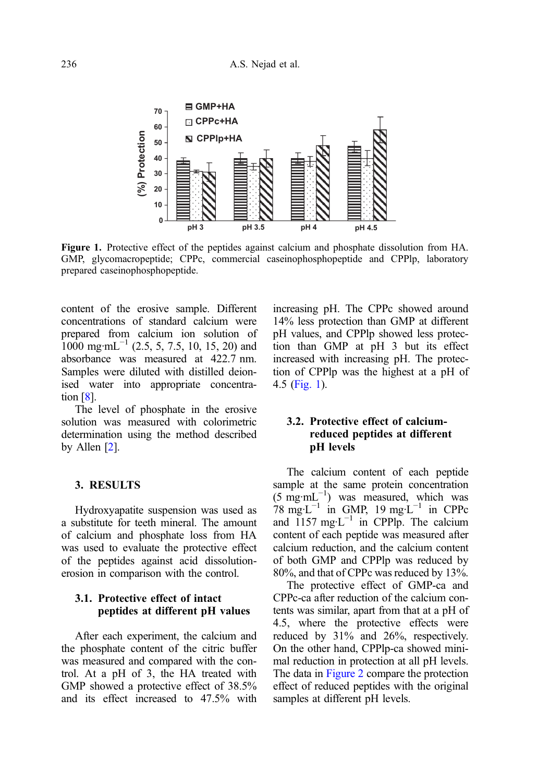

Figure 1. Protective effect of the peptides against calcium and phosphate dissolution from HA. GMP, glycomacropeptide; CPPc, commercial caseinophosphopeptide and CPPlp, laboratory prepared caseinophosphopeptide.

content of the erosive sample. Different concentrations of standard calcium were prepared from calcium ion solution of  $1000 \text{ mg} \cdot \text{mL}^{-1}$  (2.5, 5, 7.5, 10, 15, 20) and absorbance was measured at 422.7 nm. Samples were diluted with distilled deionised water into appropriate concentration [[8\]](#page-5-0).

The level of phosphate in the erosive solution was measured with colorimetric determination using the method described by Allen [\[2\]](#page-5-0).

## 3. RESULTS

Hydroxyapatite suspension was used as a substitute for teeth mineral. The amount of calcium and phosphate loss from HA was used to evaluate the protective effect of the peptides against acid dissolutionerosion in comparison with the control.

# 3.1. Protective effect of intact peptides at different pH values

After each experiment, the calcium and the phosphate content of the citric buffer was measured and compared with the control. At a pH of 3, the HA treated with GMP showed a protective effect of 38.5% and its effect increased to 47.5% with increasing pH. The CPPc showed around 14% less protection than GMP at different pH values, and CPPlp showed less protection than GMP at pH 3 but its effect increased with increasing pH. The protection of CPPlp was the highest at a pH of 4.5 (Fig. 1).

# 3.2. Protective effect of calciumreduced peptides at different pH levels

The calcium content of each peptide sample at the same protein concentration (5 mg·mL−<sup>1</sup> ) was measured, which was 78 mg·L<sup>-1</sup> in GMP, 19 mg·L<sup>-1</sup> in CPPc and  $1157 \text{ mg} \cdot L^{-1}$  in CPPlp. The calcium content of each peptide was measured after calcium reduction, and the calcium content of both GMP and CPPlp was reduced by 80%, and that of CPPc was reduced by 13%.

The protective effect of GMP-ca and CPPc-ca after reduction of the calcium contents was similar, apart from that at a pH of 4.5, where the protective effects were reduced by 31% and 26%, respectively. On the other hand, CPPlp-ca showed minimal reduction in protection at all pH levels. The data in [Figure 2](#page-4-0) compare the protection effect of reduced peptides with the original samples at different pH levels.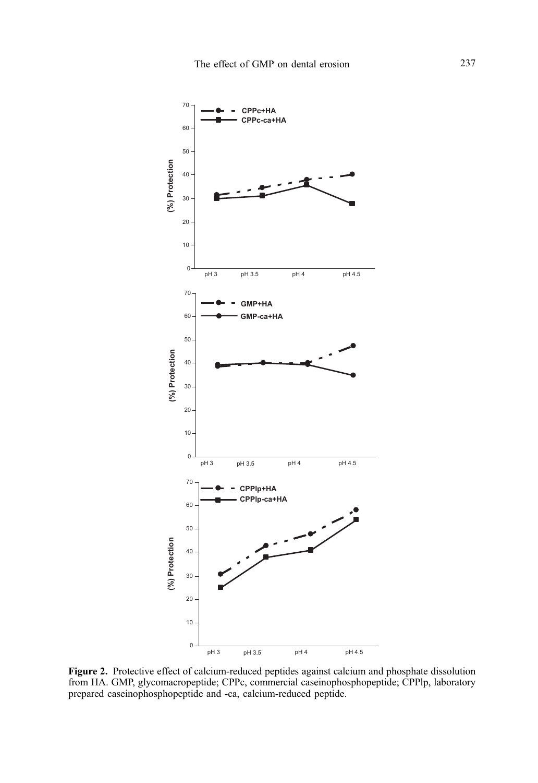<span id="page-4-0"></span>

Figure 2. Protective effect of calcium-reduced peptides against calcium and phosphate dissolution from HA. GMP, glycomacropeptide; CPPc, commercial caseinophosphopeptide; CPPlp, laboratory prepared caseinophosphopeptide and -ca, calcium-reduced peptide.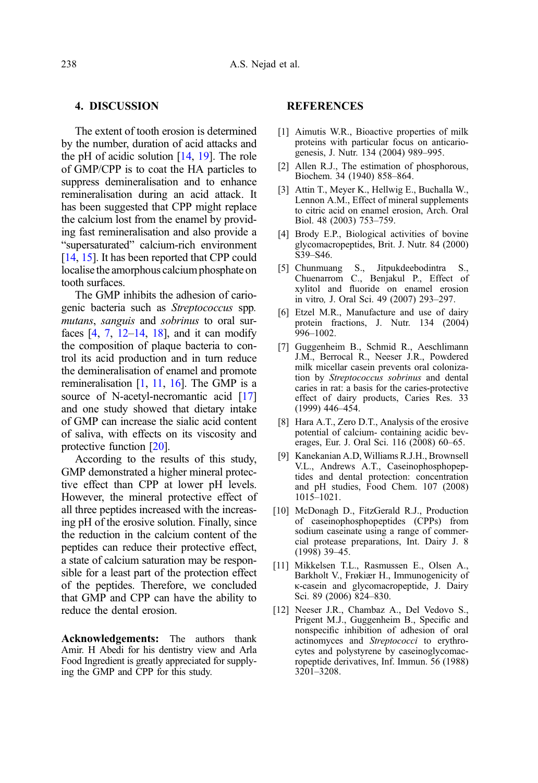## <span id="page-5-0"></span>4. DISCUSSION

The extent of tooth erosion is determined by the number, duration of acid attacks and the pH of acidic solution  $[14, 19]$  $[14, 19]$  $[14, 19]$ . The role of GMP/CPP is to coat the HA particles to suppress demineralisation and to enhance remineralisation during an acid attack. It has been suggested that CPP might replace the calcium lost from the enamel by providing fast remineralisation and also provide a "supersaturated" calcium-rich environment [\[14](#page-6-0), [15](#page-6-0)]. It has been reported that CPP could localisethe amorphous calcium phosphate on tooth surfaces.

The GMP inhibits the adhesion of cariogenic bacteria such as Streptococcus spp. mutans, sanguis and sobrinus to oral surfaces  $[4, 7, 12-14, 18]$  $[4, 7, 12-14, 18]$  $[4, 7, 12-14, 18]$  $[4, 7, 12-14, 18]$  $[4, 7, 12-14, 18]$ , and it can modify the composition of plaque bacteria to control its acid production and in turn reduce the demineralisation of enamel and promote remineralisation  $[1, 11, 16]$  $[1, 11, 16]$  $[1, 11, 16]$ . The GMP is a source of N-acetyl-necromantic acid [\[17](#page-6-0)] and one study showed that dietary intake of GMP can increase the sialic acid content of saliva, with effects on its viscosity and protective function [[20\]](#page-6-0).

According to the results of this study, GMP demonstrated a higher mineral protective effect than CPP at lower pH levels. However, the mineral protective effect of all three peptides increased with the increasing pH of the erosive solution. Finally, since the reduction in the calcium content of the peptides can reduce their protective effect, a state of calcium saturation may be responsible for a least part of the protection effect of the peptides. Therefore, we concluded that GMP and CPP can have the ability to reduce the dental erosion.

Acknowledgements: The authors thank Amir. H Abedi for his dentistry view and Arla Food Ingredient is greatly appreciated for supplying the GMP and CPP for this study.

#### **REFERENCES**

- [1] Aimutis W.R., Bioactive properties of milk proteins with particular focus on anticariogenesis, J. Nutr. 134 (2004) 989–995.
- [2] Allen R.J., The estimation of phosphorous, Biochem. 34 (1940) 858–864.
- [3] Attin T., Meyer K., Hellwig E., Buchalla W., Lennon A.M., Effect of mineral supplements to citric acid on enamel erosion, Arch. Oral Biol. 48 (2003) 753–759.
- [4] Brody E.P., Biological activities of bovine glycomacropeptides, Brit. J. Nutr. 84 (2000) S39–S46.
- [5] Chunmuang S., Jitpukdeebodintra S., Chuenarrom C., Benjakul P., Effect of xylitol and fluoride on enamel erosion in vitro, J. Oral Sci. 49 (2007) 293–297.
- [6] Etzel M.R., Manufacture and use of dairy protein fractions, J. Nutr. 134 (2004) 996–1002.
- [7] Guggenheim B., Schmid R., Aeschlimann J.M., Berrocal R., Neeser J.R., Powdered milk micellar casein prevents oral coloniza-<br>tion by Streptococcus sobrinus and dental tion by Streptococcus sobrinus and dental caries in rat: a basis for the caries-protective effect of dairy products, Caries Res. 33 (1999) 446–454.
- [8] Hara A.T., Zero D.T., Analysis of the erosive potential of calcium- containing acidic beverages, Eur. J. Oral Sci. 116 (2008) 60–65.
- [9] Kanekanian A.D, Williams R.J.H., Brownsell V.L., Andrews A.T., Caseinophosphopeptides and dental protection: concentration and pH studies, Food Chem. 107 (2008) 1015–1021.
- [10] McDonagh D., FitzGerald R.J., Production of caseinophosphopeptides (CPPs) from sodium caseinate using a range of commercial protease preparations, Int. Dairy J. 8 (1998) 39–45.
- [11] Mikkelsen T.L., Rasmussen E., Olsen A., Barkholt V., Frøkiær H., Immunogenicity of κ-casein and glycomacropeptide, J. Dairy Sci. 89 (2006) 824–830.
- [12] Neeser J.R., Chambaz A., Del Vedovo S., Prigent M.J., Guggenheim B., Specific and nonspecific inhibition of adhesion of oral actinomyces and Streptococci to erythrocytes and polystyrene by caseinoglycomacropeptide derivatives, Inf. Immun. 56 (1988) 3201–3208.